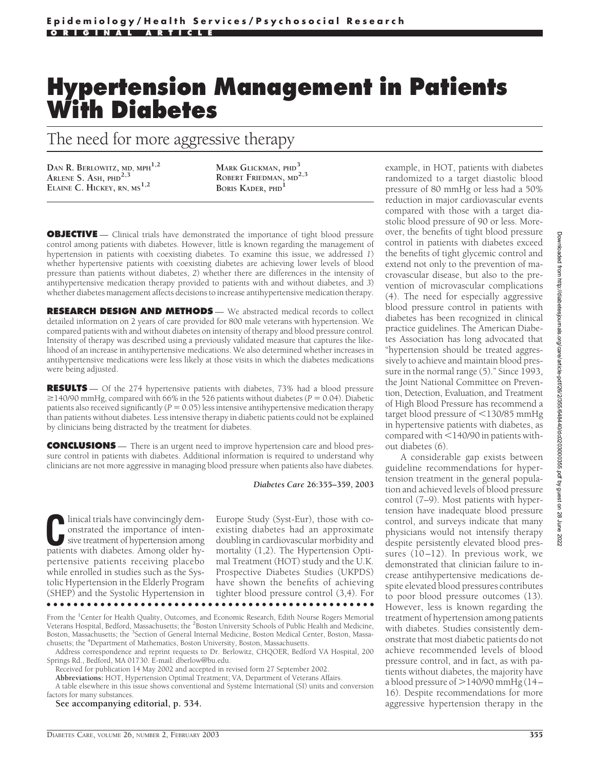# **Hypertension Management in Patients With Diabetes**

The need for more aggressive therapy

**DAN R. BERLOWITZ, MD, MPH1,2 ARLENE S. ASH, PHD2,3 ELAINE C. HICKEY, RN, MS1,2**

**MARK GLICKMAN, PHD<sup>3</sup> ROBERT FRIEDMAN, MD2,3 BORIS KADER, PHD<sup>1</sup>**

**OBJECTIVE** — Clinical trials have demonstrated the importance of tight blood pressure control among patients with diabetes. However, little is known regarding the management of hypertension in patients with coexisting diabetes. To examine this issue, we addressed *1*) whether hypertensive patients with coexisting diabetes are achieving lower levels of blood pressure than patients without diabetes, *2*) whether there are differences in the intensity of antihypertensive medication therapy provided to patients with and without diabetes, and *3*) whether diabetes management affects decisions to increase antihypertensive medication therapy.

**RESEARCH DESIGN AND METHODS** — We abstracted medical records to collect detailed information on 2 years of care provided for 800 male veterans with hypertension. We compared patients with and without diabetes on intensity of therapy and blood pressure control. Intensity of therapy was described using a previously validated measure that captures the likelihood of an increase in antihypertensive medications. We also determined whether increases in antihypertensive medications were less likely at those visits in which the diabetes medications were being adjusted.

**RESULTS** — Of the 274 hypertensive patients with diabetes, 73% had a blood pressure  $\geq$ 140/90 mmHg, compared with 66% in the 526 patients without diabetes ( $P = 0.04$ ). Diabetic patients also received significantly  $(P = 0.05)$  less intensive antihypertensive medication therapy than patients without diabetes. Less intensive therapy in diabetic patients could not be explained by clinicians being distracted by the treatment for diabetes.

**CONCLUSIONS** — There is an urgent need to improve hypertension care and blood pressure control in patients with diabetes. Additional information is required to understand why clinicians are not more aggressive in managing blood pressure when patients also have diabetes.

*Diabetes Care* **26:355–359, 2003**

Inical trials have convincingly dem-<br>
onstrated the importance of inten-<br>
sive treatment of hypertension among<br>
patients with diabetes Among older hyonstrated the importance of intensive treatment of hypertension among patients with diabetes. Among older hypertensive patients receiving placebo while enrolled in studies such as the Systolic Hypertension in the Elderly Program (SHEP) and the Systolic Hypertension in Europe Study (Syst-Eur), those with coexisting diabetes had an approximate doubling in cardiovascular morbidity and mortality (1,2). The Hypertension Optimal Treatment (HOT) study and the U.K. Prospective Diabetes Studies (UKPDS) have shown the benefits of achieving tighter blood pressure control (3,4). For

●●●●●●●●●●●●●●●●●●●●●●●●●●●●●●●●●●●●●●●●●●●●●●●●●

From the <sup>1</sup>Center for Health Quality, Outcomes, and Economic Research, Edith Nourse Rogers Memorial Veterans Hospital, Bedford, Massachusetts; the <sup>2</sup>Boston University Schools of Public Health and Medicine, Boston, Massachusetts; the <sup>3</sup>Section of General Internal Medicine, Boston Medical Center, Boston, Massachusetts; the <sup>4</sup>Department of Mathematics, Boston University, Boston, Massachusetts.

Address correspondence and reprint requests to Dr. Berlowitz, CHQOER, Bedford VA Hospital, 200 Springs Rd., Bedford, MA 01730. E-mail: dberlow@bu.edu.

Received for publication 14 May 2002 and accepted in revised form 27 September 2002.

**Abbreviations:** HOT, Hypertension Optimal Treatment; VA, Department of Veterans Affairs.

A table elsewhere in this issue shows conventional and Système International (SI) units and conversion factors for many substances.

**See accompanying editorial, p. 534.**

example, in HOT, patients with diabetes randomized to a target diastolic blood pressure of 80 mmHg or less had a 50% reduction in major cardiovascular events compared with those with a target diastolic blood pressure of 90 or less. Moreover, the benefits of tight blood pressure control in patients with diabetes exceed the benefits of tight glycemic control and extend not only to the prevention of macrovascular disease, but also to the prevention of microvascular complications (4). The need for especially aggressive blood pressure control in patients with diabetes has been recognized in clinical practice guidelines. The American Diabetes Association has long advocated that "hypertension should be treated aggressively to achieve and maintain blood pressure in the normal range (5)." Since 1993, the Joint National Committee on Prevention, Detection, Evaluation, and Treatment of High Blood Pressure has recommend a target blood pressure of  $\leq$ 130/85 mmHg in hypertensive patients with diabetes, as  $compared with < 140/90$  in patients without diabetes (6).

A considerable gap exists between guideline recommendations for hypertension treatment in the general population and achieved levels of blood pressure control (7–9). Most patients with hypertension have inadequate blood pressure control, and surveys indicate that many physicians would not intensify therapy despite persistently elevated blood pressures (10–12). In previous work, we demonstrated that clinician failure to increase antihypertensive medications despite elevated blood pressures contributes to poor blood pressure outcomes (13). However, less is known regarding the treatment of hypertension among patients with diabetes. Studies consistently demonstrate that most diabetic patients do not achieve recommended levels of blood pressure control, and in fact, as with patients without diabetes, the majority have a blood pressure of  $>$  140/90 mmHg (14-16). Despite recommendations for more aggressive hypertension therapy in the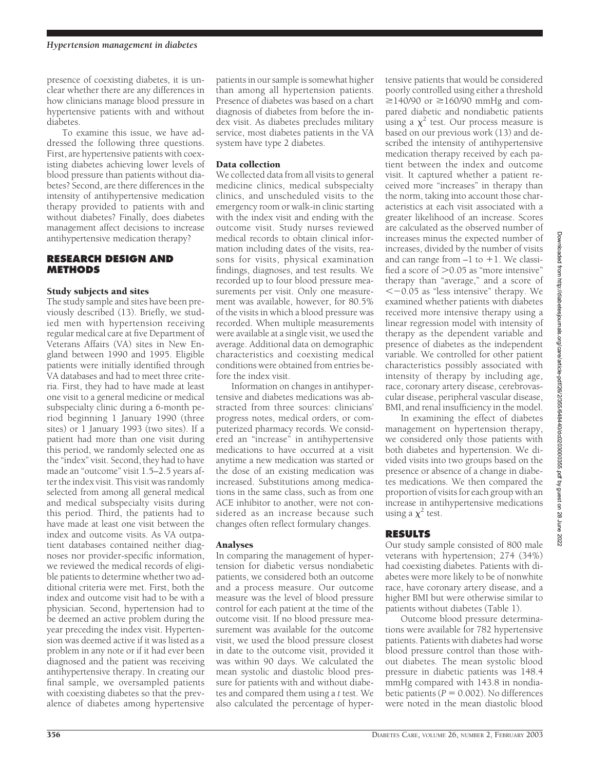presence of coexisting diabetes, it is unclear whether there are any differences in how clinicians manage blood pressure in hypertensive patients with and without diabetes.

To examine this issue, we have addressed the following three questions. First, are hypertensive patients with coexisting diabetes achieving lower levels of blood pressure than patients without diabetes? Second, are there differences in the intensity of antihypertensive medication therapy provided to patients with and without diabetes? Finally, does diabetes management affect decisions to increase antihypertensive medication therapy?

### **RESEARCH DESIGN AND METHODS**

#### Study subjects and sites

The study sample and sites have been previously described (13). Briefly, we studied men with hypertension receiving regular medical care at five Department of Veterans Affairs (VA) sites in New England between 1990 and 1995. Eligible patients were initially identified through VA databases and had to meet three criteria. First, they had to have made at least one visit to a general medicine or medical subspecialty clinic during a 6-month period beginning 1 January 1990 (three sites) or 1 January 1993 (two sites). If a patient had more than one visit during this period, we randomly selected one as the "index" visit. Second, they had to have made an "outcome" visit 1.5–2.5 years after the index visit. This visit was randomly selected from among all general medical and medical subspecialty visits during this period. Third, the patients had to have made at least one visit between the index and outcome visits. As VA outpatient databases contained neither diagnoses nor provider-specific information, we reviewed the medical records of eligible patients to determine whether two additional criteria were met. First, both the index and outcome visit had to be with a physician. Second, hypertension had to be deemed an active problem during the year preceding the index visit. Hypertension was deemed active if it was listed as a problem in any note or if it had ever been diagnosed and the patient was receiving antihypertensive therapy. In creating our final sample, we oversampled patients with coexisting diabetes so that the prevalence of diabetes among hypertensive

patients in our sample is somewhat higher than among all hypertension patients. Presence of diabetes was based on a chart diagnosis of diabetes from before the index visit. As diabetes precludes military service, most diabetes patients in the VA system have type 2 diabetes.

## Data collection

We collected data from all visits to general medicine clinics, medical subspecialty clinics, and unscheduled visits to the emergency room or walk-in clinic starting with the index visit and ending with the outcome visit. Study nurses reviewed medical records to obtain clinical information including dates of the visits, reasons for visits, physical examination findings, diagnoses, and test results. We recorded up to four blood pressure measurements per visit. Only one measurement was available, however, for 80.5% of the visits in which a blood pressure was recorded. When multiple measurements were available at a single visit, we used the average. Additional data on demographic characteristics and coexisting medical conditions were obtained from entries before the index visit.

Information on changes in antihypertensive and diabetes medications was abstracted from three sources: clinicians' progress notes, medical orders, or computerized pharmacy records. We considered an "increase" in antihypertensive medications to have occurred at a visit anytime a new medication was started or the dose of an existing medication was increased. Substitutions among medications in the same class, such as from one ACE inhibitor to another, were not considered as an increase because such changes often reflect formulary changes.

#### Analyses

In comparing the management of hypertension for diabetic versus nondiabetic patients, we considered both an outcome and a process measure. Our outcome measure was the level of blood pressure control for each patient at the time of the outcome visit. If no blood pressure measurement was available for the outcome visit, we used the blood pressure closest in date to the outcome visit, provided it was within 90 days. We calculated the mean systolic and diastolic blood pressure for patients with and without diabetes and compared them using a *t* test. We also calculated the percentage of hypertensive patients that would be considered poorly controlled using either a threshold  $\geq$ 140/90 or  $\geq$ 160/90 mmHg and compared diabetic and nondiabetic patients using a  $\chi^2$  test. Our process measure is based on our previous work (13) and described the intensity of antihypertensive medication therapy received by each patient between the index and outcome visit. It captured whether a patient received more "increases" in therapy than the norm, taking into account those characteristics at each visit associated with a greater likelihood of an increase. Scores are calculated as the observed number of increases minus the expected number of increases, divided by the number of visits and can range from  $-1$  to  $+1$ . We classified a score of  $>$  0.05 as "more intensive" therapy than "average," and a score of -0.05 as "less intensive" therapy. We examined whether patients with diabetes received more intensive therapy using a linear regression model with intensity of therapy as the dependent variable and presence of diabetes as the independent variable. We controlled for other patient characteristics possibly associated with intensity of therapy by including age, race, coronary artery disease, cerebrovascular disease, peripheral vascular disease, BMI, and renal insufficiency in the model.

In examining the effect of diabetes management on hypertension therapy, we considered only those patients with both diabetes and hypertension. We divided visits into two groups based on the presence or absence of a change in diabetes medications. We then compared the proportion of visits for each group with an increase in antihypertensive medications using a  $\chi^2$  test.

## **RESULTS**

Our study sample consisted of 800 male veterans with hypertension; 274 (34%) had coexisting diabetes. Patients with diabetes were more likely to be of nonwhite race, have coronary artery disease, and a higher BMI but were otherwise similar to patients without diabetes (Table 1).

Outcome blood pressure determinations were available for 782 hypertensive patients. Patients with diabetes had worse blood pressure control than those without diabetes. The mean systolic blood pressure in diabetic patients was 148.4 mmHg compared with 143.8 in nondiabetic patients  $(P = 0.002)$ . No differences were noted in the mean diastolic blood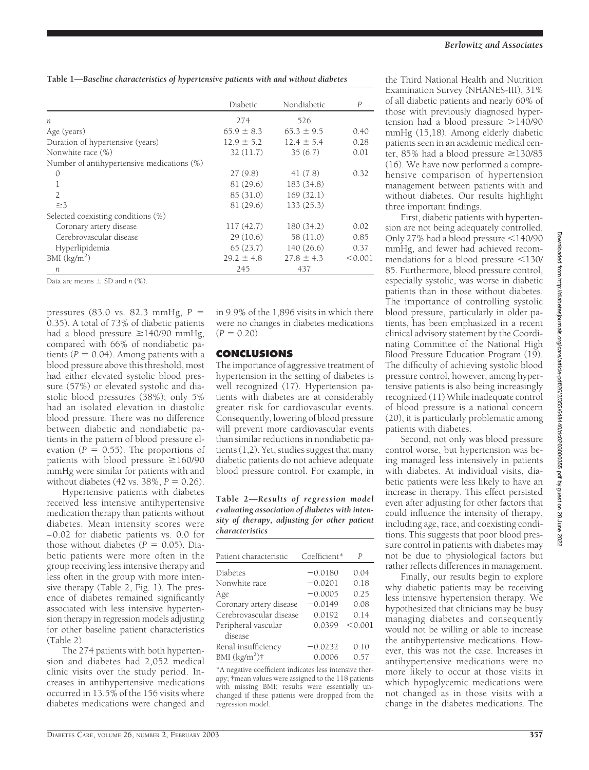|                                            | Diabetic       | Nondiabetic    | $\boldsymbol{P}$ |
|--------------------------------------------|----------------|----------------|------------------|
|                                            |                |                |                  |
| $\boldsymbol{n}$                           | 274            | 526            |                  |
| Age (years)                                | $65.9 \pm 8.3$ | $65.3 \pm 9.5$ | 0.40             |
| Duration of hypertensive (years)           | $12.9 \pm 5.2$ | $12.4 \pm 5.4$ | 0.28             |
| Nonwhite race (%)                          | 32(11.7)       | 35(6.7)        | 0.01             |
| Number of antihypertensive medications (%) |                |                |                  |
| $\mathcal{O}$                              | 27(9.8)        | 41(7.8)        | 0.32             |
| 1                                          | 81(29.6)       | 183 (34.8)     |                  |
| $\overline{2}$                             | 85(31.0)       | 169(32.1)      |                  |
| $\geq$ 3                                   | 81 (29.6)      | 133(25.3)      |                  |
| Selected coexisting conditions (%)         |                |                |                  |
| Coronary artery disease                    | 117(42.7)      | 180 (34.2)     | 0.02             |
| Cerebrovascular disease                    | 29(10.6)       | 58 (11.0)      | 0.85             |
| Hyperlipidemia                             | 65(23.7)       | 140(26.6)      | 0.37             |
| BMI $(kg/m2)$                              | $29.2 \pm 4.8$ | $27.8 \pm 4.3$ | < 0.001          |
| n                                          | 245            | 437            |                  |

Data are means  $\pm$  SD and *n* (%).

pressures (83.0 vs. 82.3 mmHg, *P* 0.35). A total of 73% of diabetic patients had a blood pressure  $\geq$ 140/90 mmHg, compared with 66% of nondiabetic patients ( $P = 0.04$ ). Among patients with a blood pressure above this threshold, most had either elevated systolic blood pressure (57%) or elevated systolic and diastolic blood pressures (38%); only 5% had an isolated elevation in diastolic blood pressure. There was no difference between diabetic and nondiabetic patients in the pattern of blood pressure elevation ( $P = 0.55$ ). The proportions of patients with blood pressure  $\geq$ 160/90 mmHg were similar for patients with and without diabetes (42 vs.  $38\%, P = 0.26$ ).

Hypertensive patients with diabetes received less intensive antihypertensive medication therapy than patients without diabetes. Mean intensity scores were – 0.02 for diabetic patients vs. 0.0 for those without diabetes  $(P = 0.05)$ . Diabetic patients were more often in the group receiving less intensive therapy and less often in the group with more intensive therapy (Table 2, Fig. 1). The presence of diabetes remained significantly associated with less intensive hypertension therapy in regression models adjusting for other baseline patient characteristics (Table 2).

The 274 patients with both hypertension and diabetes had 2,052 medical clinic visits over the study period. Increases in antihypertensive medications occurred in 13.5% of the 156 visits where diabetes medications were changed and in 9.9% of the 1,896 visits in which there were no changes in diabetes medications  $(P = 0.20)$ .

## **CONCLUSIONS**

The importance of aggressive treatment of hypertension in the setting of diabetes is well recognized (17). Hypertension patients with diabetes are at considerably greater risk for cardiovascular events. Consequently, lowering of blood pressure will prevent more cardiovascular events than similar reductions in nondiabetic patients (1,2). Yet, studies suggest that many diabetic patients do not achieve adequate blood pressure control. For example, in

**Table 2—***Results of regression model evaluating association of diabetes with intensity of therapy, adjusting for other patient characteristics*

| Patient characteristic  | Coefficient* | Р       |
|-------------------------|--------------|---------|
| Diabetes                | $-0.0180$    | 0.04    |
| Nonwhite race           | $-0.0201$    | 0.18    |
| Age                     | $-0.0005$    | 0.25    |
| Coronary artery disease | $-0.0149$    | 0.08    |
| Cerebrovascular disease | 0.0192       | 0.14    |
| Peripheral vascular     | 0.0399       | < 0.001 |
| disease                 |              |         |
| Renal insufficiency     | $-0.0232$    | 0.10    |
| BMI $(kg/m^2)$ †        | 0.0006       | 0.57    |

<sup>\*</sup>A negative coefficient indicates less intensive therapy; †mean values were assigned to the 118 patients with missing BMI; results were essentially unchanged if these patients were dropped from the regression model.

the Third National Health and Nutrition Examination Survey (NHANES-III), 31% of all diabetic patients and nearly 60% of those with previously diagnosed hypertension had a blood pressure  $>140/90$ mmHg (15,18). Among elderly diabetic patients seen in an academic medical center, 85% had a blood pressure  $\geq$ 130/85 (16). We have now performed a comprehensive comparison of hypertension management between patients with and without diabetes. Our results highlight three important findings.

First, diabetic patients with hypertension are not being adequately controlled. Only 27% had a blood pressure <140/90 mmHg, and fewer had achieved recommendations for a blood pressure <130/ 85. Furthermore, blood pressure control, especially systolic, was worse in diabetic patients than in those without diabetes. The importance of controlling systolic blood pressure, particularly in older patients, has been emphasized in a recent clinical advisory statement by the Coordinating Committee of the National High Blood Pressure Education Program (19). The difficulty of achieving systolic blood pressure control, however, among hypertensive patients is also being increasingly recognized (11) While inadequate control of blood pressure is a national concern (20), it is particularly problematic among patients with diabetes.

Second, not only was blood pressure control worse, but hypertension was being managed less intensively in patients with diabetes. At individual visits, diabetic patients were less likely to have an increase in therapy. This effect persisted even after adjusting for other factors that could influence the intensity of therapy, including age, race, and coexisting conditions. This suggests that poor blood pressure control in patients with diabetes may not be due to physiological factors but rather reflects differences in management.

Finally, our results begin to explore why diabetic patients may be receiving less intensive hypertension therapy. We hypothesized that clinicians may be busy managing diabetes and consequently would not be willing or able to increase the antihypertensive medications. However, this was not the case. Increases in antihypertensive medications were no more likely to occur at those visits in which hypoglycemic medications were not changed as in those visits with a change in the diabetes medications. The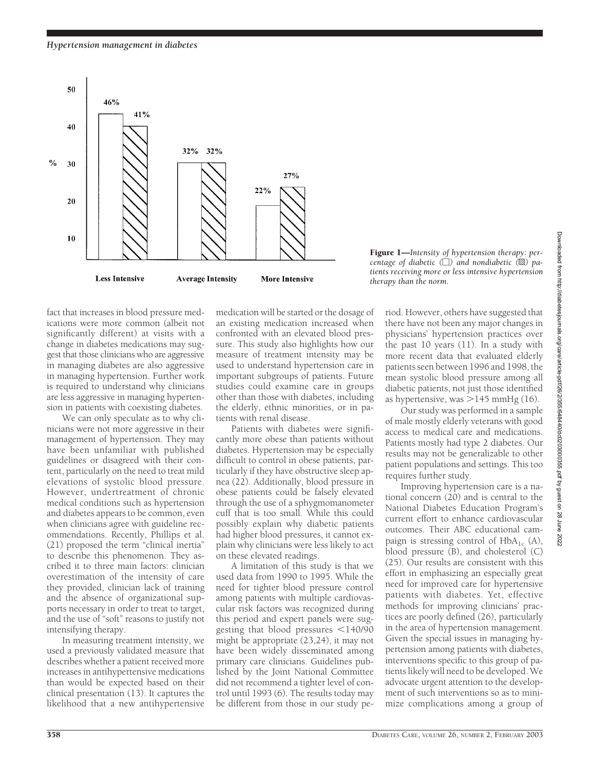# *Hypertension management in diabetes*



fact that increases in blood pressure medications were more common (albeit not significantly different) at visits with a change in diabetes medications may suggest that those clinicians who are aggressive in managing diabetes are also aggressive in managing hypertension. Further work is required to understand why clinicians are less aggressive in managing hypertension in patients with coexisting diabetes.

We can only speculate as to why clinicians were not more aggressive in their management of hypertension. They may have been unfamiliar with published guidelines or disagreed with their content, particularly on the need to treat mild elevations of systolic blood pressure. However, undertreatment of chronic medical conditions such as hypertension and diabetes appears to be common, even when clinicians agree with guideline recommendations. Recently, Phillips et al. (21) proposed the term "clinical inertia" to describe this phenomenon. They ascribed it to three main factors: clinician overestimation of the intensity of care they provided, clinician lack of training and the absence of organizational supports necessary in order to treat to target, and the use of "soft" reasons to justify not intensifying therapy.

In measuring treatment intensity, we used a previously validated measure that describes whether a patient received more increases in antihypertensive medications than would be expected based on their clinical presentation (13). It captures the likelihood that a new antihypertensive

medication will be started or the dosage of an existing medication increased when confronted with an elevated blood pressure. This study also highlights how our measure of treatment intensity may be used to understand hypertension care in important subgroups of patients. Future studies could examine care in groups other than those with diabetes, including the elderly, ethnic minorities, or in patients with renal disease.

Patients with diabetes were significantly more obese than patients without diabetes. Hypertension may be especially difficult to control in obese patients, particularly if they have obstructive sleep apnea (22). Additionally, blood pressure in obese patients could be falsely elevated through the use of a sphygmomanometer cuff that is too small. While this could possibly explain why diabetic patients had higher blood pressures, it cannot explain why clinicians were less likely to act on these elevated readings.

A limitation of this study is that we used data from 1990 to 1995. While the need for tighter blood pressure control among patients with multiple cardiovascular risk factors was recognized during this period and expert panels were suggesting that blood pressures <140/90 might be appropriate (23,24), it may not have been widely disseminated among primary care clinicians. Guidelines published by the Joint National Committee did not recommend a tighter level of control until 1993 (6). The results today may be different from those in our study pe-

Figure 1—*Intensity of hypertension therapy: percentage of diabetic (*-*) and nondiabetic (*p*) patients receiving more or less intensive hypertension therapy than the norm.*

riod. However, others have suggested that there have not been any major changes in physicians' hypertension practices over the past 10 years (11). In a study with more recent data that evaluated elderly patients seen between 1996 and 1998, the mean systolic blood pressure among all diabetic patients, not just those identified as hypertensive, was  $>$ 145 mmHg (16).

Our study was performed in a sample of male mostly elderly veterans with good access to medical care and medications. Patients mostly had type 2 diabetes. Our results may not be generalizable to other patient populations and settings. This too requires further study.

Improving hypertension care is a national concern (20) and is central to the National Diabetes Education Program's current effort to enhance cardiovascular outcomes. Their ABC educational campaign is stressing control of  $HbA_{1c}$  (A), blood pressure (B), and cholesterol (C) (25). Our results are consistent with this effort in emphasizing an especially great need for improved care for hypertensive patients with diabetes. Yet, effective methods for improving clinicians' practices are poorly defined (26), particularly in the area of hypertension management. Given the special issues in managing hypertension among patients with diabetes, interventions specific to this group of patients likely will need to be developed. We advocate urgent attention to the development of such interventions so as to minimize complications among a group of